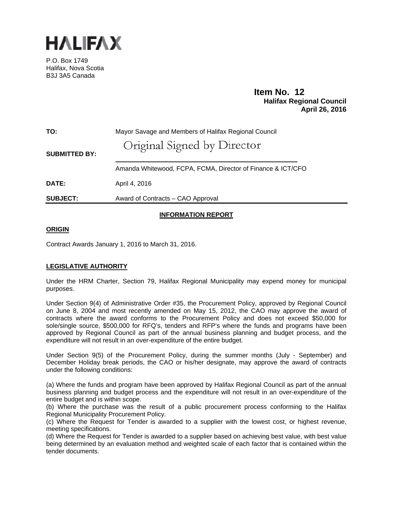

P.O. Box 1749 Halifax, Nova Scotia B3J 3A5 Canada

# **Item No. 12**<br>**Halifax Regional Council April 26, 2016**

| TO:                  | Mayor Savage and Members of Halifax Regional Council        |
|----------------------|-------------------------------------------------------------|
| <b>SUBMITTED BY:</b> | Original Signed by Director                                 |
|                      | Amanda Whitewood, FCPA, FCMA, Director of Finance & ICT/CFO |
| <b>DATE:</b>         | April 4, 2016                                               |
| <b>SUBJECT:</b>      | Award of Contracts - CAO Approval                           |
|                      |                                                             |

## **INFORMATION REPORT**

## **ORIGIN**

Contract Awards January 1, 2016 to March 31, 2016.

## **LEGISLATIVE AUTHORITY**

Under the HRM Charter, Section 79, Halifax Regional Municipality may expend money for municipal purposes.

Under Section 9(4) of Administrative Order #35, the Procurement Policy, approved by Regional Council on June 8, 2004 and most recently amended on May 15, 2012, the CAO may approve the award of contracts where the award conforms to the Procurement Policy and does not exceed \$50,000 for sole/single source, \$500,000 for RFQ's, tenders and RFP's where the funds and programs have been approved by Regional Council as part of the annual business planning and budget process, and the expenditure will not result in an over-expenditure of the entire budget.

Under Section 9(5) of the Procurement Policy, during the summer months (July - September) and December Holiday break periods, the CAO or his/her designate, may approve the award of contracts under the following conditions:

(a) Where the funds and program have been approved by Halifax Regional Council as part of the annual business planning and budget process and the expenditure will not result in an over-expenditure of the entire budget and is within scope.

(b) Where the purchase was the result of a public procurement process conforming to the Halifax Regional Municipality Procurement Policy.

(c) Where the Request for Tender is awarded to a supplier with the lowest cost, or highest revenue, meeting specifications.

(d) Where the Request for Tender is awarded to a supplier based on achieving best value, with best value being determined by an evaluation method and weighted scale of each factor that is contained within the tender documents.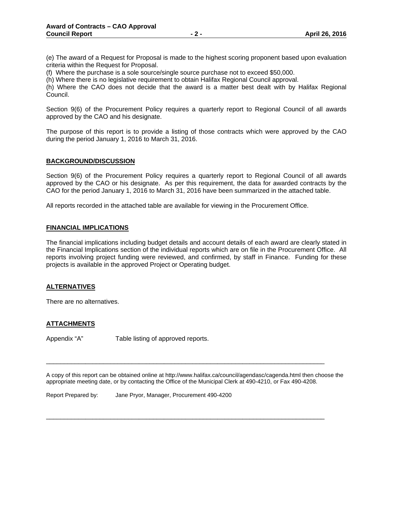(e) The award of a Request for Proposal is made to the highest scoring proponent based upon evaluation criteria within the Request for Proposal.

(f) Where the purchase is a sole source/single source purchase not to exceed \$50,000.

(h) Where there is no legislative requirement to obtain Halifax Regional Council approval.

(h) Where the CAO does not decide that the award is a matter best dealt with by Halifax Regional Council.

Section 9(6) of the Procurement Policy requires a quarterly report to Regional Council of all awards approved by the CAO and his designate.

The purpose of this report is to provide a listing of those contracts which were approved by the CAO during the period January 1, 2016 to March 31, 2016.

#### **BACKGROUND/DISCUSSION**

Section 9(6) of the Procurement Policy requires a quarterly report to Regional Council of all awards approved by the CAO or his designate. As per this requirement, the data for awarded contracts by the CAO for the period January 1, 2016 to March 31, 2016 have been summarized in the attached table.

All reports recorded in the attached table are available for viewing in the Procurement Office.

#### **FINANCIAL IMPLICATIONS**

The financial implications including budget details and account details of each award are clearly stated in the Financial Implications section of the individual reports which are on file in the Procurement Office. All reports involving project funding were reviewed, and confirmed, by staff in Finance. Funding for these projects is available in the approved Project or Operating budget.

#### **ALTERNATIVES**

There are no alternatives.

### **ATTACHMENTS**

Appendix "A" Table listing of approved reports.

A copy of this report can be obtained online at http://www.halifax.ca/council/agendasc/cagenda.html then choose the appropriate meeting date, or by contacting the Office of the Municipal Clerk at 490-4210, or Fax 490-4208.

\_\_\_\_\_\_\_\_\_\_\_\_\_\_\_\_\_\_\_\_\_\_\_\_\_\_\_\_\_\_\_\_\_\_\_\_\_\_\_\_\_\_\_\_\_\_\_\_\_\_\_\_\_\_\_\_\_\_\_\_\_\_\_\_\_\_\_\_\_\_\_\_\_\_\_\_\_\_

\_\_\_\_\_\_\_\_\_\_\_\_\_\_\_\_\_\_\_\_\_\_\_\_\_\_\_\_\_\_\_\_\_\_\_\_\_\_\_\_\_\_\_\_\_\_\_\_\_\_\_\_\_\_\_\_\_\_\_\_\_\_\_\_\_\_\_\_\_\_\_\_\_\_\_\_\_\_

Report Prepared by: Jane Pryor, Manager, Procurement 490-4200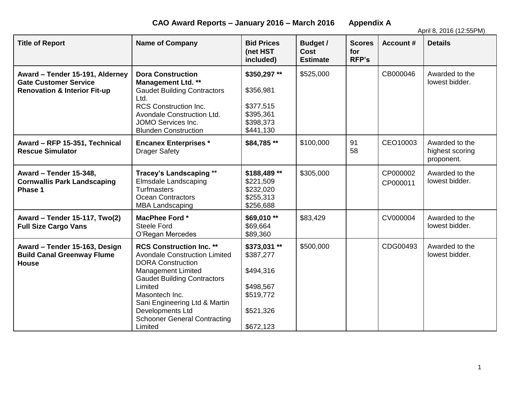**CAO Award Reports – January 2016 – March 2016 Appendix A**

April 8, 2016 (12:55PM)

| <b>Title of Report</b>                                                                                     | <b>Name of Company</b>                                                                                                                                                                                                                                                                                     | <b>Bid Prices</b><br>(net HST<br>included)                                                | <b>Budget /</b><br>Cost<br><b>Estimate</b> | <b>Scores</b><br>for<br><b>RFP's</b> | <b>Account #</b>     | <b>Details</b>                                  |
|------------------------------------------------------------------------------------------------------------|------------------------------------------------------------------------------------------------------------------------------------------------------------------------------------------------------------------------------------------------------------------------------------------------------------|-------------------------------------------------------------------------------------------|--------------------------------------------|--------------------------------------|----------------------|-------------------------------------------------|
| Award - Tender 15-191, Alderney<br><b>Gate Customer Service</b><br><b>Renovation &amp; Interior Fit-up</b> | <b>Dora Construction</b><br><b>Management Ltd. **</b><br><b>Gaudet Building Contractors</b><br>Ltd.<br><b>RCS Construction Inc.</b><br>Avondale Construction Ltd.<br>JOMO Services Inc.<br><b>Blunden Construction</b>                                                                                     | \$350,297**<br>\$356,981<br>\$377,515<br>\$395,361<br>\$398,373<br>\$441,130              | \$525,000                                  |                                      | CB000046             | Awarded to the<br>lowest bidder.                |
| Award - RFP 15-351, Technical<br><b>Rescue Simulator</b>                                                   | <b>Encanex Enterprises*</b><br><b>Drager Safety</b>                                                                                                                                                                                                                                                        | \$84,785 **                                                                               | \$100,000                                  | 91<br>58                             | CEO10003             | Awarded to the<br>highest scoring<br>proponent. |
| Award - Tender 15-348,<br><b>Cornwallis Park Landscaping</b><br>Phase 1                                    | Tracey's Landscaping **<br><b>Elmsdale Landscaping</b><br><b>Turfmasters</b><br><b>Ocean Contractors</b><br><b>MBA Landscaping</b>                                                                                                                                                                         | \$188,489**<br>\$221,509<br>\$232,020<br>\$255,313<br>\$256,688                           | \$305,000                                  |                                      | CP000002<br>CP000011 | Awarded to the<br>lowest bidder.                |
| Award - Tender 15-117, Two(2)<br><b>Full Size Cargo Vans</b>                                               | MacPhee Ford *<br><b>Steele Ford</b><br>O'Regan Mercedes                                                                                                                                                                                                                                                   | \$69,010 **<br>\$69,664<br>\$89,360                                                       | \$83,429                                   |                                      | CV000004             | Awarded to the<br>lowest bidder.                |
| Award - Tender 15-163, Design<br><b>Build Canal Greenway Flume</b><br><b>House</b>                         | <b>RCS Construction Inc. **</b><br><b>Avondale Construction Limited</b><br><b>DORA Construction</b><br><b>Management Limited</b><br><b>Gaudet Building Contractors</b><br>Limited<br>Masontech Inc.<br>Sani Engineering Ltd & Martin<br>Developments Ltd<br><b>Schooner General Contracting</b><br>Limited | \$373,031**<br>\$387,277<br>\$494,316<br>\$498,567<br>\$519,772<br>\$521,326<br>\$672,123 | \$500,000                                  |                                      | CDG00493             | Awarded to the<br>lowest bidder.                |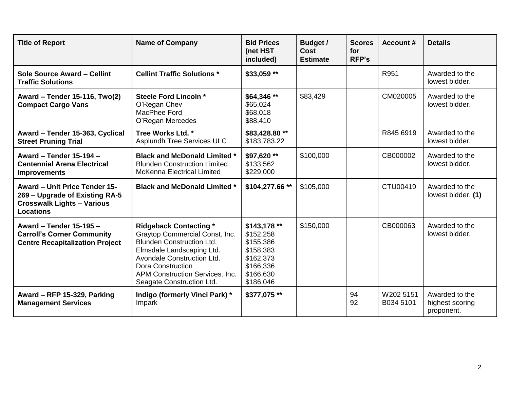| <b>Title of Report</b>                                                                                                          | <b>Name of Company</b>                                                                                                                                                                                                                                     | <b>Bid Prices</b><br>(net HST<br>included)                                                              | <b>Budget /</b><br><b>Cost</b><br><b>Estimate</b> | <b>Scores</b><br>for<br><b>RFP's</b> | <b>Account #</b>       | <b>Details</b>                                  |
|---------------------------------------------------------------------------------------------------------------------------------|------------------------------------------------------------------------------------------------------------------------------------------------------------------------------------------------------------------------------------------------------------|---------------------------------------------------------------------------------------------------------|---------------------------------------------------|--------------------------------------|------------------------|-------------------------------------------------|
| Sole Source Award - Cellint<br><b>Traffic Solutions</b>                                                                         | <b>Cellint Traffic Solutions *</b>                                                                                                                                                                                                                         | \$33,059 **                                                                                             |                                                   |                                      | R951                   | Awarded to the<br>lowest bidder.                |
| Award - Tender 15-116, Two(2)<br><b>Compact Cargo Vans</b>                                                                      | <b>Steele Ford Lincoln *</b><br>O'Regan Chev<br>MacPhee Ford<br>O'Regan Mercedes                                                                                                                                                                           | \$64,346 **<br>\$65,024<br>\$68,018<br>\$88,410                                                         | \$83,429                                          |                                      | CM020005               | Awarded to the<br>lowest bidder.                |
| Award - Tender 15-363, Cyclical<br><b>Street Pruning Trial</b>                                                                  | Tree Works Ltd. *<br>Asplundh Tree Services ULC                                                                                                                                                                                                            | \$83,428.80**<br>\$183,783.22                                                                           |                                                   |                                      | R845 6919              | Awarded to the<br>lowest bidder.                |
| <b>Award - Tender 15-194 -</b><br><b>Centennial Arena Electrical</b><br><b>Improvements</b>                                     | <b>Black and McDonald Limited *</b><br><b>Blunden Construction Limited</b><br><b>McKenna Electrical Limited</b>                                                                                                                                            | \$97,620 **<br>\$133,562<br>\$229,000                                                                   | \$100,000                                         |                                      | CB000002               | Awarded to the<br>lowest bidder.                |
| <b>Award - Unit Price Tender 15-</b><br>269 - Upgrade of Existing RA-5<br><b>Crosswalk Lights - Various</b><br><b>Locations</b> | <b>Black and McDonald Limited *</b>                                                                                                                                                                                                                        | \$104,277.66 **                                                                                         | \$105,000                                         |                                      | CTU00419               | Awarded to the<br>lowest bidder. (1)            |
| Award - Tender 15-195 -<br><b>Carroll's Corner Community</b><br><b>Centre Recapitalization Project</b>                          | <b>Ridgeback Contacting *</b><br>Graytop Commercial Const. Inc.<br><b>Blunden Construction Ltd.</b><br>Elmsdale Landscaping Ltd.<br>Avondale Construction Ltd.<br><b>Dora Construction</b><br>APM Construction Services, Inc.<br>Seagate Construction Ltd. | \$143,178 **<br>\$152,258<br>\$155,386<br>\$158,383<br>\$162,373<br>\$166,336<br>\$166,630<br>\$186,046 | \$150,000                                         |                                      | CB000063               | Awarded to the<br>lowest bidder.                |
| Award - RFP 15-329, Parking<br><b>Management Services</b>                                                                       | Indigo (formerly Vinci Park) *<br>Impark                                                                                                                                                                                                                   | \$377,075 **                                                                                            |                                                   | 94<br>92                             | W202 5151<br>B034 5101 | Awarded to the<br>highest scoring<br>proponent. |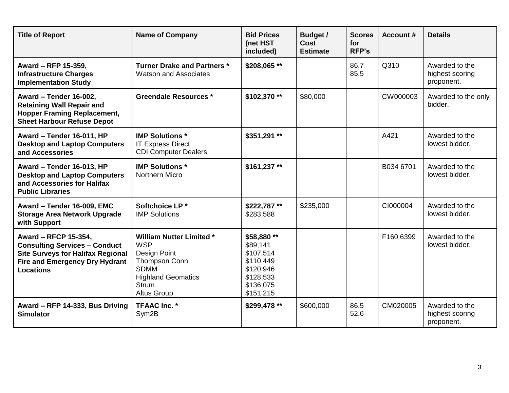| <b>Title of Report</b>                                                                                                                                                | <b>Name of Company</b>                                                                                                                                                  | <b>Bid Prices</b><br>(net HST<br>included)                                                            | Budget /<br>Cost<br><b>Estimate</b> | <b>Scores</b><br>for<br><b>RFP's</b> | <b>Account #</b> | <b>Details</b>                                  |
|-----------------------------------------------------------------------------------------------------------------------------------------------------------------------|-------------------------------------------------------------------------------------------------------------------------------------------------------------------------|-------------------------------------------------------------------------------------------------------|-------------------------------------|--------------------------------------|------------------|-------------------------------------------------|
| Award - RFP 15-359,<br><b>Infrastructure Charges</b><br><b>Implementation Study</b>                                                                                   | <b>Turner Drake and Partners *</b><br><b>Watson and Associates</b>                                                                                                      | \$208,065**                                                                                           |                                     | 86.7<br>85.5                         | Q310             | Awarded to the<br>highest scoring<br>proponent. |
| Award - Tender 16-002,<br><b>Retaining Wall Repair and</b><br><b>Hopper Framing Replacement,</b><br><b>Sheet Harbour Refuse Depot</b>                                 | <b>Greendale Resources *</b>                                                                                                                                            | \$102,370**                                                                                           | \$80,000                            |                                      | CW000003         | Awarded to the only<br>bidder.                  |
| Award - Tender 16-011, HP<br><b>Desktop and Laptop Computers</b><br>and Accessories                                                                                   | <b>IMP Solutions *</b><br><b>IT Express Direct</b><br><b>CDI Computer Dealers</b>                                                                                       | \$351,291 **                                                                                          |                                     |                                      | A421             | Awarded to the<br>lowest bidder.                |
| Award - Tender 16-013, HP<br><b>Desktop and Laptop Computers</b><br>and Accessories for Halifax<br><b>Public Libraries</b>                                            | <b>IMP Solutions *</b><br>Northern Micro                                                                                                                                | \$161,237**                                                                                           |                                     |                                      | B034 6701        | Awarded to the<br>lowest bidder.                |
| Award - Tender 16-009, EMC<br><b>Storage Area Network Upgrade</b><br>with Support                                                                                     | Softchoice LP*<br><b>IMP Solutions</b>                                                                                                                                  | \$222,787**<br>\$283,588                                                                              | \$235,000                           |                                      | CI000004         | Awarded to the<br>lowest bidder.                |
| Award - RFCP 15-354,<br><b>Consulting Services - Conduct</b><br><b>Site Surveys for Halifax Regional</b><br><b>Fire and Emergency Dry Hydrant</b><br><b>Locations</b> | <b>William Nutter Limited *</b><br><b>WSP</b><br><b>Design Point</b><br>Thompson Conn<br><b>SDMM</b><br><b>Highland Geomatics</b><br><b>Strum</b><br><b>Altus Group</b> | \$58,880 **<br>\$89,141<br>\$107,514<br>\$110,449<br>\$120,946<br>\$128,533<br>\$136,075<br>\$151,215 |                                     |                                      | F160 6399        | Awarded to the<br>lowest bidder.                |
| Award - RFP 14-333, Bus Driving<br><b>Simulator</b>                                                                                                                   | <b>TFAAC Inc. *</b><br>Sym <sub>2</sub> B                                                                                                                               | \$299,478 **                                                                                          | \$600,000                           | 86.5<br>52.6                         | CM020005         | Awarded to the<br>highest scoring<br>proponent. |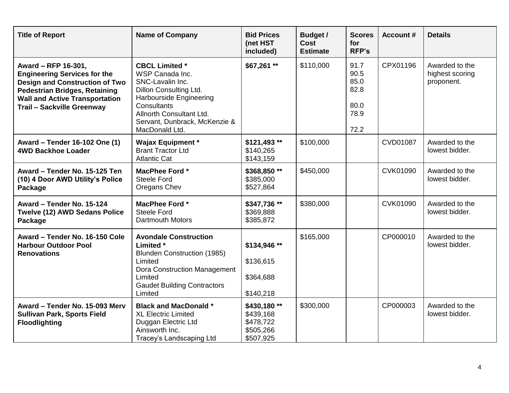| <b>Title of Report</b>                                                                                                                                                                                             | <b>Name of Company</b>                                                                                                                                                                                          | <b>Bid Prices</b><br>(net HST<br>included)                      | <b>Budget /</b><br>Cost<br><b>Estimate</b> | <b>Scores</b><br>for<br><b>RFP's</b>                 | <b>Account #</b> | <b>Details</b>                                  |
|--------------------------------------------------------------------------------------------------------------------------------------------------------------------------------------------------------------------|-----------------------------------------------------------------------------------------------------------------------------------------------------------------------------------------------------------------|-----------------------------------------------------------------|--------------------------------------------|------------------------------------------------------|------------------|-------------------------------------------------|
| Award - RFP 16-301,<br><b>Engineering Services for the</b><br><b>Design and Construction of Two</b><br><b>Pedestrian Bridges, Retaining</b><br><b>Wall and Active Transportation</b><br>Trail - Sackville Greenway | <b>CBCL Limited *</b><br>WSP Canada Inc.<br>SNC-Lavalin Inc.<br>Dillon Consulting Ltd.<br>Harbourside Engineering<br>Consultants<br>Allnorth Consultant Ltd.<br>Servant, Dunbrack, McKenzie &<br>MacDonald Ltd. | $$67,261**$                                                     | \$110,000                                  | 91.7<br>90.5<br>85.0<br>82.8<br>80.0<br>78.9<br>72.2 | CPX01196         | Awarded to the<br>highest scoring<br>proponent. |
| Award - Tender 16-102 One (1)<br><b>4WD Backhoe Loader</b>                                                                                                                                                         | <b>Wajax Equipment *</b><br><b>Brant Tractor Ltd</b><br><b>Atlantic Cat</b>                                                                                                                                     | $$121,493$ **<br>\$140,265<br>\$143,159                         | \$100,000                                  |                                                      | CVD01087         | Awarded to the<br>lowest bidder.                |
| Award - Tender No. 15-125 Ten<br>(10) 4 Door AWD Utility's Police<br>Package                                                                                                                                       | MacPhee Ford *<br><b>Steele Ford</b><br>Oregans Chev                                                                                                                                                            | \$368,850**<br>\$385,000<br>\$527,864                           | \$450,000                                  |                                                      | CVK01090         | Awarded to the<br>lowest bidder.                |
| Award - Tender No. 15-124<br>Twelve (12) AWD Sedans Police<br>Package                                                                                                                                              | MacPhee Ford *<br><b>Steele Ford</b><br>Dartmouth Motors                                                                                                                                                        | \$347,736 **<br>\$369,888<br>\$385,872                          | \$380,000                                  |                                                      | CVK01090         | Awarded to the<br>lowest bidder.                |
| Award - Tender No. 16-150 Cole<br><b>Harbour Outdoor Pool</b><br><b>Renovations</b>                                                                                                                                | <b>Avondale Construction</b><br>Limited *<br>Blunden Construction (1985)<br>Limited<br>Dora Construction Management<br>Limited<br><b>Gaudet Building Contractors</b><br>Limited                                 | \$134,946**<br>\$136,615<br>\$364,688<br>\$140,218              | \$165,000                                  |                                                      | CP000010         | Awarded to the<br>lowest bidder.                |
| Award - Tender No. 15-093 Merv<br><b>Sullivan Park, Sports Field</b><br><b>Floodlighting</b>                                                                                                                       | <b>Black and MacDonald *</b><br><b>XL Electric Limited</b><br>Duggan Electric Ltd<br>Ainsworth Inc.<br>Tracey's Landscaping Ltd                                                                                 | \$430,180**<br>\$439,168<br>\$478,722<br>\$505,266<br>\$507,925 | \$300,000                                  |                                                      | CP000003         | Awarded to the<br>lowest bidder.                |